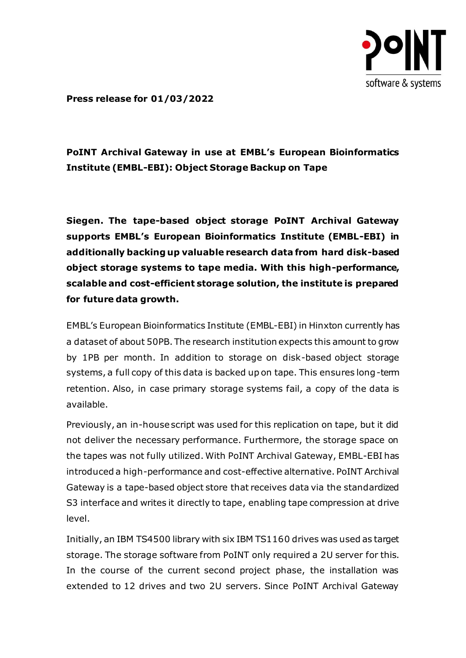

**Press release for 01/03/2022**

# **PoINT Archival Gateway in use at EMBL's European Bioinformatics Institute (EMBL-EBI): Object Storage Backup on Tape**

**Siegen. The tape-based object storage PoINT Archival Gateway supports EMBL's European Bioinformatics Institute (EMBL-EBI) in additionally backing up valuable research data from hard disk-based object storage systems to tape media. With this high-performance, scalable and cost-efficient storage solution, the institute is prepared for future data growth.**

EMBL's European Bioinformatics Institute (EMBL-EBI) in Hinxton currently has a dataset of about 50PB. The research institution expects this amount to grow by 1PB per month. In addition to storage on disk-based object storage systems, a full copy of this data is backed up on tape. This ensures long-term retention. Also, in case primary storage systems fail, a copy of the data is available.

Previously, an in-house script was used for this replication on tape, but it did not deliver the necessary performance. Furthermore, the storage space on the tapes was not fully utilized. With PoINT Archival Gateway, EMBL-EBI has introduced a high-performance and cost-effective alternative. PoINT Archival Gateway is a tape-based object store that receives data via the standardized S3 interface and writes it directly to tape, enabling tape compression at drive level.

Initially, an IBM TS4500 library with six IBM TS1160 drives was used as target storage. The storage software from PoINT only required a 2U server for this. In the course of the current second project phase, the installation was extended to 12 drives and two 2U servers. Since PoINT Archival Gateway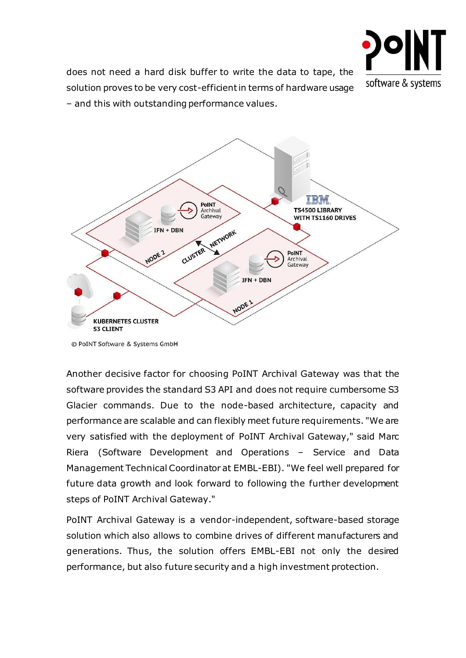

does not need a hard disk buffer to write the data to tape, the solution proves to be very cost-efficient in terms of hardware usage – and this with outstanding performance values.



<sup>©</sup> PoINT Software & Systems GmbH

Another decisive factor for choosing PoINT Archival Gateway was that the software provides the standard S3 API and does not require cumbersome S3 Glacier commands. Due to the node-based architecture, capacity and performance are scalable and can flexibly meet future requirements. "We are very satisfied with the deployment of PoINT Archival Gateway," said Marc Riera (Software Development and Operations – Service and Data Management Technical Coordinator at EMBL-EBI). "We feel well prepared for future data growth and look forward to following the further development steps of PoINT Archival Gateway."

PoINT Archival Gateway is a vendor-independent, software-based storage solution which also allows to combine drives of different manufacturers and generations. Thus, the solution offers EMBL-EBI not only the desired performance, but also future security and a high investment protection.